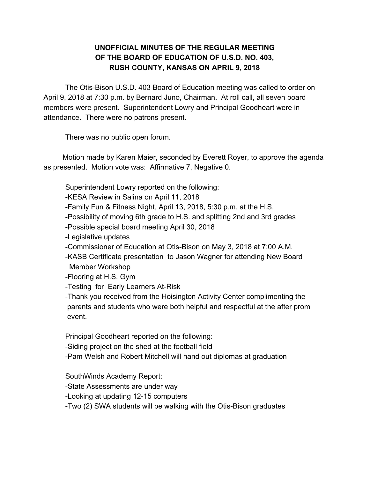## **UNOFFICIAL MINUTES OF THE REGULAR MEETING OF THE BOARD OF EDUCATION OF U.S.D. NO. 403, RUSH COUNTY, KANSAS ON APRIL 9, 2018**

The Otis-Bison U.S.D. 403 Board of Education meeting was called to order on April 9, 2018 at 7:30 p.m. by Bernard Juno, Chairman. At roll call, all seven board members were present. Superintendent Lowry and Principal Goodheart were in attendance. There were no patrons present.

There was no public open forum.

Motion made by Karen Maier, seconded by Everett Royer, to approve the agenda as presented. Motion vote was: Affirmative 7, Negative 0.

Superintendent Lowry reported on the following:

-KESA Review in Salina on April 11, 2018

-Family Fun & Fitness Night, April 13, 2018, 5:30 p.m. at the H.S.

-Possibility of moving 6th grade to H.S. and splitting 2nd and 3rd grades

-Possible special board meeting April 30, 2018

-Legislative updates

-Commissioner of Education at Otis-Bison on May 3, 2018 at 7:00 A.M.

-KASB Certificate presentation to Jason Wagner for attending New Board Member Workshop

-Flooring at H.S. Gym

-Testing for Early Learners At-Risk

-Thank you received from the Hoisington Activity Center complimenting the parents and students who were both helpful and respectful at the after prom event.

Principal Goodheart reported on the following:

-Siding project on the shed at the football field

-Pam Welsh and Robert Mitchell will hand out diplomas at graduation

SouthWinds Academy Report:

-State Assessments are under way

-Looking at updating 12-15 computers

-Two (2) SWA students will be walking with the Otis-Bison graduates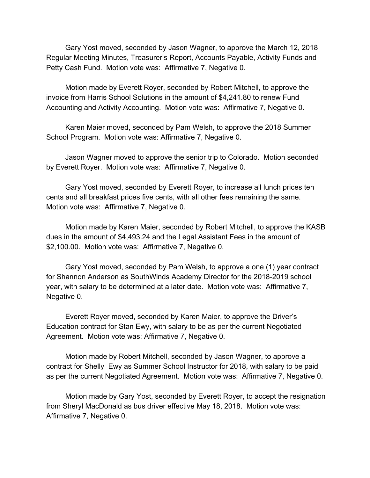Gary Yost moved, seconded by Jason Wagner, to approve the March 12, 2018 Regular Meeting Minutes, Treasurer's Report, Accounts Payable, Activity Funds and Petty Cash Fund. Motion vote was: Affirmative 7, Negative 0.

Motion made by Everett Royer, seconded by Robert Mitchell, to approve the invoice from Harris School Solutions in the amount of \$4,241.80 to renew Fund Accounting and Activity Accounting. Motion vote was: Affirmative 7, Negative 0.

Karen Maier moved, seconded by Pam Welsh, to approve the 2018 Summer School Program. Motion vote was: Affirmative 7, Negative 0.

Jason Wagner moved to approve the senior trip to Colorado. Motion seconded by Everett Royer. Motion vote was: Affirmative 7, Negative 0.

Gary Yost moved, seconded by Everett Royer, to increase all lunch prices ten cents and all breakfast prices five cents, with all other fees remaining the same. Motion vote was: Affirmative 7, Negative 0.

Motion made by Karen Maier, seconded by Robert Mitchell, to approve the KASB dues in the amount of \$4,493.24 and the Legal Assistant Fees in the amount of \$2,100.00. Motion vote was: Affirmative 7, Negative 0.

Gary Yost moved, seconded by Pam Welsh, to approve a one (1) year contract for Shannon Anderson as SouthWinds Academy Director for the 2018-2019 school year, with salary to be determined at a later date. Motion vote was: Affirmative 7, Negative 0.

Everett Royer moved, seconded by Karen Maier, to approve the Driver's Education contract for Stan Ewy, with salary to be as per the current Negotiated Agreement. Motion vote was: Affirmative 7, Negative 0.

Motion made by Robert Mitchell, seconded by Jason Wagner, to approve a contract for Shelly Ewy as Summer School Instructor for 2018, with salary to be paid as per the current Negotiated Agreement. Motion vote was: Affirmative 7, Negative 0.

Motion made by Gary Yost, seconded by Everett Royer, to accept the resignation from Sheryl MacDonald as bus driver effective May 18, 2018. Motion vote was: Affirmative 7, Negative 0.